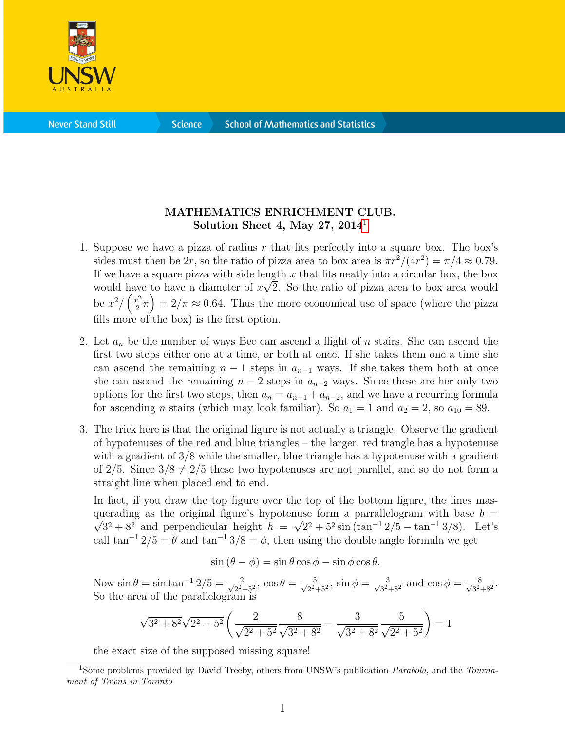

**Science** 

## MATHEMATICS ENRICHMENT CLUB. Solution Sheet 4, May 27,  $2014<sup>1</sup>$  $2014<sup>1</sup>$  $2014<sup>1</sup>$

- 1. Suppose we have a pizza of radius  $r$  that fits perfectly into a square box. The box's sides must then be 2r, so the ratio of pizza area to box area is  $\pi r^2/(4r^2) = \pi/4 \approx 0.79$ . If we have a square pizza with side length  $x$  that fits neatly into a circular box, the box would have to have a diameter of  $x\sqrt{2}$ . So the ratio of pizza area to box area would be  $x^2/\left(\frac{x^2}{2}\right)$  $\left(\frac{e^2}{2}\pi\right) = 2/\pi \approx 0.64$ . Thus the more economical use of space (where the pizza fills more of the box) is the first option.
- 2. Let  $a_n$  be the number of ways Bec can ascend a flight of n stairs. She can ascend the first two steps either one at a time, or both at once. If she takes them one a time she can ascend the remaining  $n-1$  steps in  $a_{n-1}$  ways. If she takes them both at once she can ascend the remaining  $n-2$  steps in  $a_{n-2}$  ways. Since these are her only two options for the first two steps, then  $a_n = a_{n-1} + a_{n-2}$ , and we have a recurring formula for ascending *n* stairs (which may look familiar). So  $a_1 = 1$  and  $a_2 = 2$ , so  $a_{10} = 89$ .
- 3. The trick here is that the original figure is not actually a triangle. Observe the gradient of hypotenuses of the red and blue triangles – the larger, red trangle has a hypotenuse with a gradient of  $3/8$  while the smaller, blue triangle has a hypotenuse with a gradient of 2/5. Since  $3/8 \neq 2/5$  these two hypotenuses are not parallel, and so do not form a straight line when placed end to end.

In fact, if you draw the top figure over the top of the bottom figure, the lines mas querading as the original figure's hypotenuse form a parrallelogram with base  $b = \sqrt{a^2 + b^2}$  $\sqrt{3^2 + 8^2}$  and perpendicular height  $h = \sqrt{2^2 + 5^2} \sin(\tan^{-1} 2/5 - \tan^{-1} 3/8)$ . Let's call tan<sup>-1</sup> 2/5 =  $\theta$  and tan<sup>-1</sup> 3/8 =  $\phi$ , then using the double angle formula we get

$$
\sin(\theta - \phi) = \sin\theta\cos\phi - \sin\phi\cos\theta.
$$

Now  $\sin \theta = \sin \tan^{-1} 2/5 = \frac{2}{\sqrt{2}}$  $\frac{2}{2^2+5^2}$ ,  $\cos \theta = \frac{5}{\sqrt{2^2}}$  $\frac{5}{2^2+5^2}$ ,  $\sin \phi = \frac{3}{\sqrt{3^2}}$  $\frac{3}{3^2+8^2}$  and  $\cos \phi = \frac{8}{\sqrt{3^2-6}}$  $\frac{8}{3^2+8^2}$ . So the area of the parallelogram is

$$
\sqrt{3^2 + 8^2}\sqrt{2^2 + 5^2} \left(\frac{2}{\sqrt{2^2 + 5^2}} \frac{8}{\sqrt{3^2 + 8^2}} - \frac{3}{\sqrt{3^2 + 8^2}} \frac{5}{\sqrt{2^2 + 5^2}}\right) = 1
$$

the exact size of the supposed missing square!

<span id="page-0-0"></span><sup>&</sup>lt;sup>1</sup>Some problems provided by David Treeby, others from UNSW's publication *Parabola*, and the Tournament of Towns in Toronto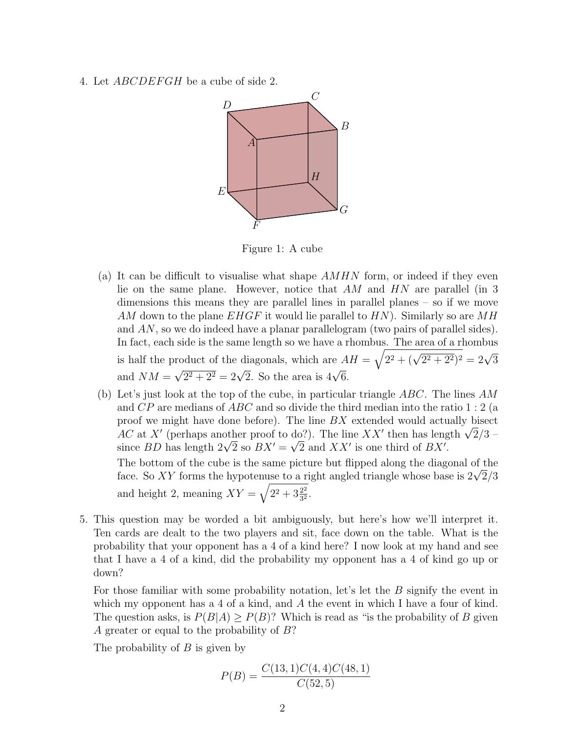4. Let *ABCDEFGH* be a cube of side 2.



Figure 1: A cube

- (a) It can be difficult to visualise what shape  $AMHN$  form, or indeed if they even lie on the same plane. However, notice that AM and HN are parallel (in 3 dimensions this means they are parallel lines in parallel planes – so if we move AM down to the plane  $E H G F$  it would lie parallel to  $H N$ ). Similarly so are MH and AN, so we do indeed have a planar parallelogram (two pairs of parallel sides). In fact, each side is the same length so we have a rhombus. The area of a rhombus is half the product of the diagonals, which are  $AH = \sqrt{2^2 + (\sqrt{2^2 + 2^2})^2} = 2\sqrt{3}$ and  $NM =$ √  $\frac{\text{base of the diagonal}}{2^2 + 2^2} = 2\sqrt{2}$ . So the area is  $4\sqrt{6}$ .
- (b) Let's just look at the top of the cube, in particular triangle  $ABC$ . The lines  $AM$ and CP are medians of ABC and so divide the third median into the ratio 1 : 2 (a proof we might have done before). The line BX extended would actually bisect proof we might have done before). The line  $BX$  extended would actually bisect <br>AC at X' (perhaps another proof to do?). The line  $XX'$  then has length  $\sqrt{2}/3$  – AC at  $\Lambda$  (pernaps another proof to do?). The line  $\Lambda\Lambda$  then has length  $2\sqrt{2}$  so  $BX' = \sqrt{2}$  and  $XX'$  is one third of  $BX'$ . The bottom of the cube is the same picture but flipped along the diagonal of the The bottom of the cube is the same picture but hipped along the diagonal of the face. So XY forms the hypotenuse to a right angled triangle whose base is  $2\sqrt{2}/3$

and height 2, meaning  $XY = \sqrt{2^2 + 3\frac{2^2}{3^2}}$  $\frac{2^2}{3^2}$ .

5. This question may be worded a bit ambiguously, but here's how we'll interpret it. Ten cards are dealt to the two players and sit, face down on the table. What is the probability that your opponent has a 4 of a kind here? I now look at my hand and see that I have a 4 of a kind, did the probability my opponent has a 4 of kind go up or down?

For those familiar with some probability notation, let's let the B signify the event in which my opponent has a 4 of a kind, and A the event in which I have a four of kind. The question asks, is  $P(B|A) \ge P(B)$ ? Which is read as "is the probability of B given A greater or equal to the probability of B?

The probability of  $B$  is given by

$$
P(B) = \frac{C(13,1)C(4,4)C(48,1)}{C(52,5)}
$$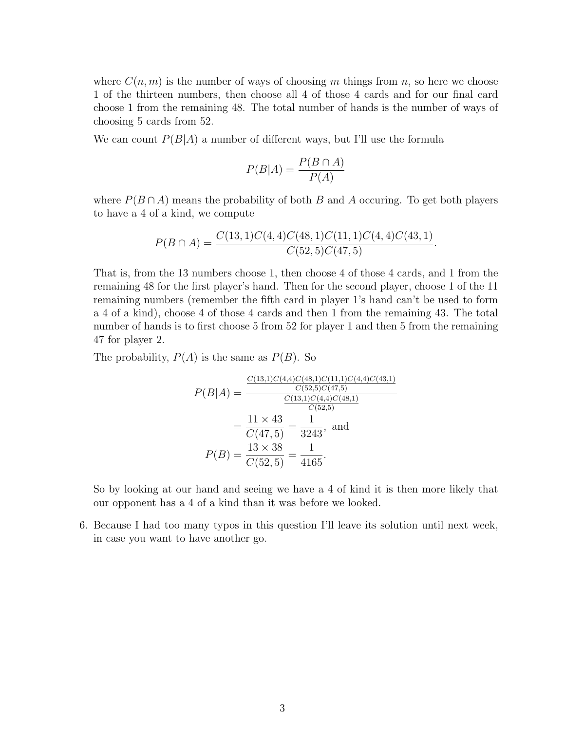where  $C(n, m)$  is the number of ways of choosing m things from n, so here we choose 1 of the thirteen numbers, then choose all 4 of those 4 cards and for our final card choose 1 from the remaining 48. The total number of hands is the number of ways of choosing 5 cards from 52.

We can count  $P(B|A)$  a number of different ways, but I'll use the formula

$$
P(B|A) = \frac{P(B \cap A)}{P(A)}
$$

where  $P(B \cap A)$  means the probability of both B and A occuring. To get both players to have a 4 of a kind, we compute

$$
P(B \cap A) = \frac{C(13,1)C(4,4)C(48,1)C(11,1)C(4,4)C(43,1)}{C(52,5)C(47,5)}
$$

That is, from the 13 numbers choose 1, then choose 4 of those 4 cards, and 1 from the remaining 48 for the first player's hand. Then for the second player, choose 1 of the 11 remaining numbers (remember the fifth card in player 1's hand can't be used to form a 4 of a kind), choose 4 of those 4 cards and then 1 from the remaining 43. The total number of hands is to first choose 5 from 52 for player 1 and then 5 from the remaining 47 for player 2.

The probability,  $P(A)$  is the same as  $P(B)$ . So

$$
P(B|A) = \frac{\frac{C(13,1)C(4,4)C(48,1)C(11,1)C(4,4)C(43,1)}{C(52,5)C(47,5)}}{\frac{C(13,1)C(4,4)C(48,1)}{C(52,5)}}
$$

$$
= \frac{11 \times 43}{C(47,5)} = \frac{1}{3243}, \text{ and}
$$

$$
P(B) = \frac{13 \times 38}{C(52,5)} = \frac{1}{4165}.
$$

So by looking at our hand and seeing we have a 4 of kind it is then more likely that our opponent has a 4 of a kind than it was before we looked.

6. Because I had too many typos in this question I'll leave its solution until next week, in case you want to have another go.